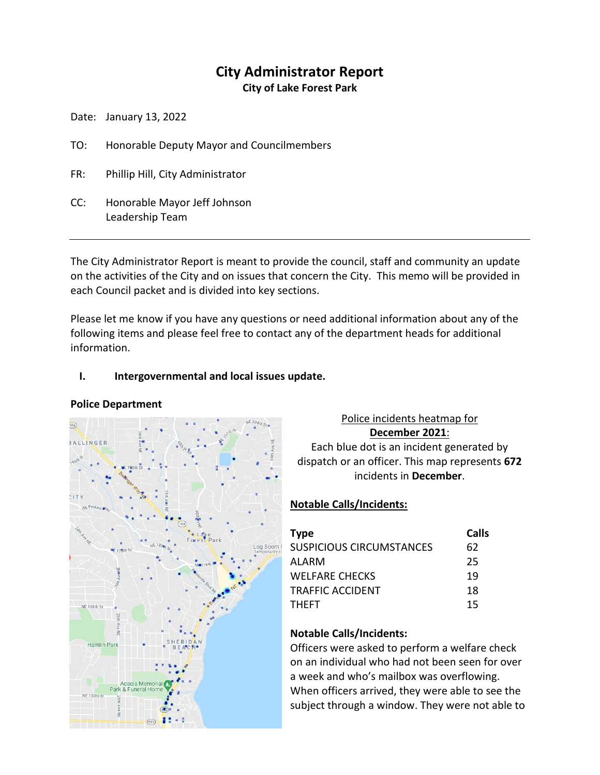# **City Administrator Report**

**City of Lake Forest Park**

Date: January 13, 2022

- TO: Honorable Deputy Mayor and Councilmembers
- FR: Phillip Hill, City Administrator
- CC: Honorable Mayor Jeff Johnson Leadership Team

The City Administrator Report is meant to provide the council, staff and community an update on the activities of the City and on issues that concern the City. This memo will be provided in each Council packet and is divided into key sections.

Please let me know if you have any questions or need additional information about any of the following items and please feel free to contact any of the department heads for additional information.

### **I. Intergovernmental and local issues update.**

#### **Police Department**



## Police incidents heatmap for **December 2021**: Each blue dot is an incident generated by dispatch or an officer. This map represents **672**

incidents in **December**.

## **Notable Calls/Incidents:**

| <b>Type</b>                     | Calls |
|---------------------------------|-------|
| <b>SUSPICIOUS CIRCUMSTANCES</b> | 62    |
| AI ARM                          | 25    |
| <b>WELFARE CHECKS</b>           | 19    |
| <b>TRAFFIC ACCIDENT</b>         | 18    |
| <b>THEFT</b>                    | 15    |

## **Notable Calls/Incidents:**

Officers were asked to perform a welfare check on an individual who had not been seen for over a week and who's mailbox was overflowing. When officers arrived, they were able to see the subject through a window. They were not able to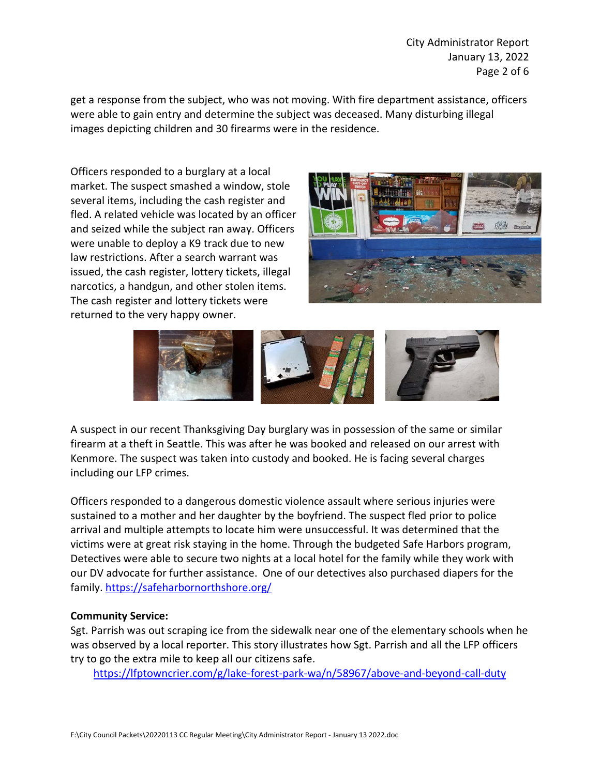get a response from the subject, who was not moving. With fire department assistance, officers were able to gain entry and determine the subject was deceased. Many disturbing illegal images depicting children and 30 firearms were in the residence.

Officers responded to a burglary at a local market. The suspect smashed a window, stole several items, including the cash register and fled. A related vehicle was located by an officer and seized while the subject ran away. Officers were unable to deploy a K9 track due to new law restrictions. After a search warrant was issued, the cash register, lottery tickets, illegal narcotics, a handgun, and other stolen items. The cash register and lottery tickets were returned to the very happy owner.





A suspect in our recent Thanksgiving Day burglary was in possession of the same or similar firearm at a theft in Seattle. This was after he was booked and released on our arrest with Kenmore. The suspect was taken into custody and booked. He is facing several charges including our LFP crimes.

Officers responded to a dangerous domestic violence assault where serious injuries were sustained to a mother and her daughter by the boyfriend. The suspect fled prior to police arrival and multiple attempts to locate him were unsuccessful. It was determined that the victims were at great risk staying in the home. Through the budgeted Safe Harbors program, Detectives were able to secure two nights at a local hotel for the family while they work with our DV advocate for further assistance. One of our detectives also purchased diapers for the family[. https://safeharbornorthshore.org/](https://safeharbornorthshore.org/)

#### **Community Service:**

Sgt. Parrish was out scraping ice from the sidewalk near one of the elementary schools when he was observed by a local reporter. This story illustrates how Sgt. Parrish and all the LFP officers try to go the extra mile to keep all our citizens safe.

<https://lfptowncrier.com/g/lake-forest-park-wa/n/58967/above-and-beyond-call-duty>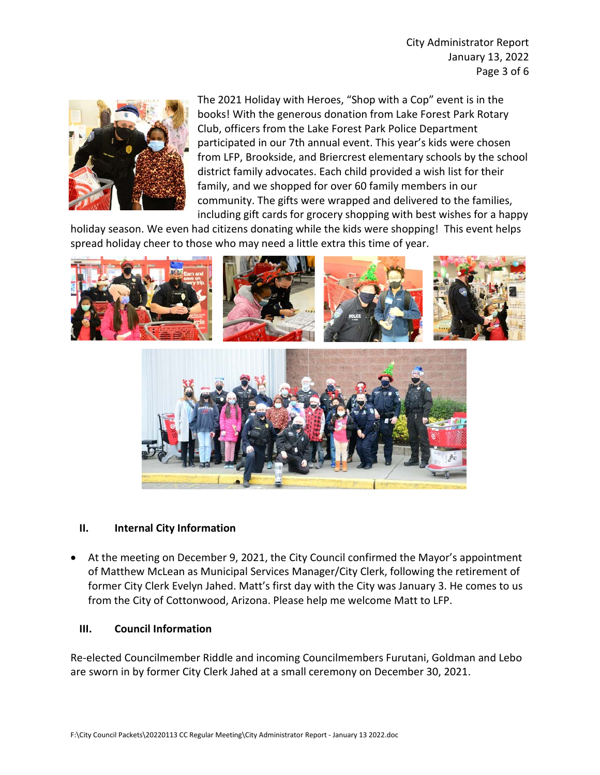

The 2021 Holiday with Heroes, "Shop with a Cop" event is in the books! With the generous donation from Lake Forest Park Rotary Club, officers from the Lake Forest Park Police Department participated in our 7th annual event. This year's kids were chosen from LFP, Brookside, and Briercrest elementary schools by the school district family advocates. Each child provided a wish list for their family, and we shopped for over 60 family members in our community. The gifts were wrapped and delivered to the families, including gift cards for grocery shopping with best wishes for a happy

holiday season. We even had citizens donating while the kids were shopping! This event helps spread holiday cheer to those who may need a little extra this time of year.



#### **II. Internal City Information**

• At the meeting on December 9, 2021, the City Council confirmed the Mayor's appointment of Matthew McLean as Municipal Services Manager/City Clerk, following the retirement of former City Clerk Evelyn Jahed. Matt's first day with the City was January 3. He comes to us from the City of Cottonwood, Arizona. Please help me welcome Matt to LFP.

#### **III. Council Information**

Re-elected Councilmember Riddle and incoming Councilmembers Furutani, Goldman and Lebo are sworn in by former City Clerk Jahed at a small ceremony on December 30, 2021.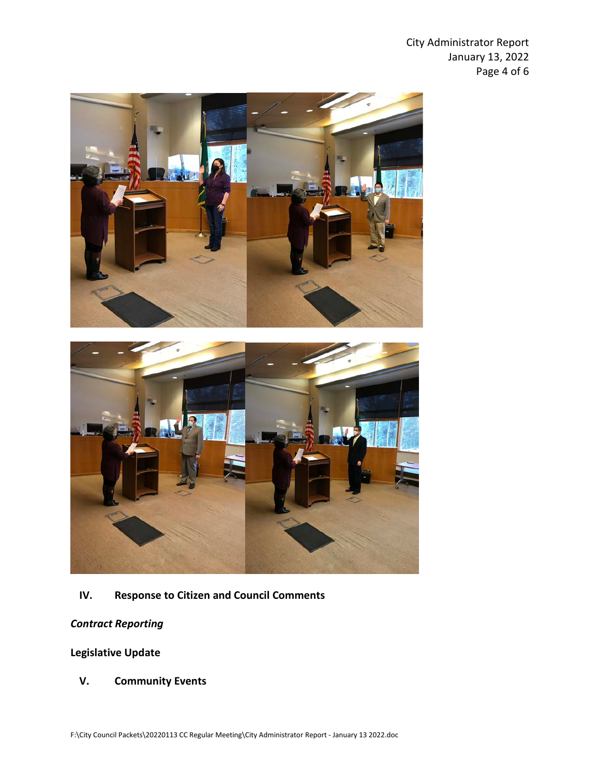City Administrator Report January 13, 2022 Page 4 of 6





## **IV. Response to Citizen and Council Comments**

## *Contract Reporting*

## **Legislative Update**

**V. Community Events**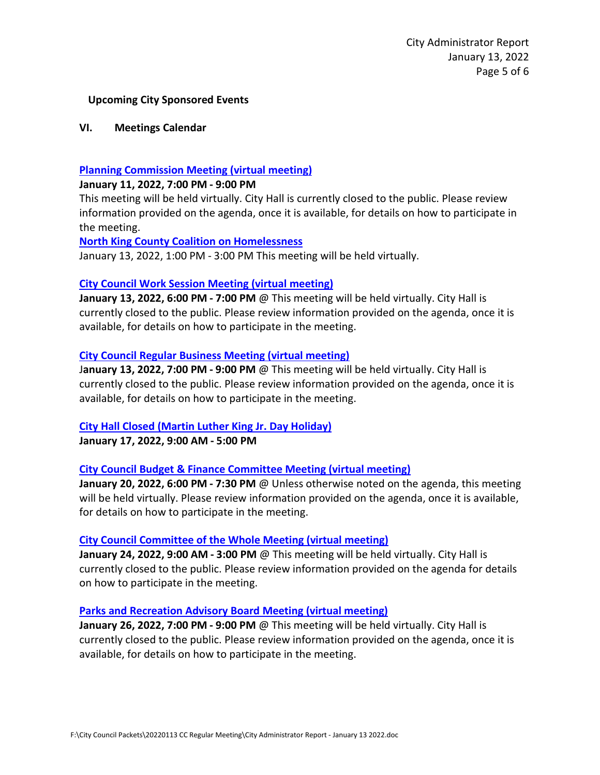#### **Upcoming City Sponsored Events**

#### **VI. Meetings Calendar**

#### **[Planning Commission Meeting \(virtual meeting\)](https://www.cityoflfp.com/Calendar.aspx?EID=2288&month=1&year=2022&day=6&calType=0)**

#### **January 11, 2022, 7:00 PM - 9:00 PM**

This meeting will be held virtually. City Hall is currently closed to the public. Please review information provided on the agenda, once it is available, for details on how to participate in the meeting.

#### **[North King County Coalition on Homelessness](https://www.cityoflfp.com/Calendar.aspx?EID=2264&month=1&year=2022&day=6&calType=0)**

January 13, 2022, 1:00 PM - 3:00 PM This meeting will be held virtually.

#### **[City Council Work Session Meeting \(virtual meeting\)](https://www.cityoflfp.com/Calendar.aspx?EID=2180&month=1&year=2022&day=6&calType=0)**

**January 13, 2022, 6:00 PM - 7:00 PM** @ This meeting will be held virtually. City Hall is currently closed to the public. Please review information provided on the agenda, once it is available, for details on how to participate in the meeting.

#### **[City Council Regular Business Meeting \(virtual meeting\)](https://www.cityoflfp.com/Calendar.aspx?EID=2053&month=1&year=2021&day=8&calType=0)**

J**anuary 13, 2022, 7:00 PM - 9:00 PM** @ This meeting will be held virtually. City Hall is currently closed to the public. Please review information provided on the agenda, once it is available, for details on how to participate in the meeting.

#### **[City Hall Closed \(Martin Luther King Jr. Day Holiday\)](https://www.cityoflfp.com/Calendar.aspx?EID=2172&month=1&year=2022&day=6&calType=0)**

**January 17, 2022, 9:00 AM - 5:00 PM**

#### **[City Council Budget & Finance Committee Meeting \(virtual meeting\)](https://www.cityoflfp.com/Calendar.aspx?EID=2214&month=1&year=2022&day=6&calType=0)**

**January 20, 2022, 6:00 PM - 7:30 PM** @ Unless otherwise noted on the agenda, this meeting will be held virtually. Please review information provided on the agenda, once it is available, for details on how to participate in the meeting.

#### **[City Council Committee of the Whole Meeting \(virtual meeting\)](https://www.cityoflfp.com/Calendar.aspx?EID=2098&month=1&year=2021&day=8&calType=0)**

**January 24, 2022, 9:00 AM - 3:00 PM** @ This meeting will be held virtually. City Hall is currently closed to the public. Please review information provided on the agenda for details on how to participate in the meeting.

#### **[Parks and Recreation Advisory](https://www.cityoflfp.com/Calendar.aspx?EID=2156&month=1&year=2022&day=6&calType=0) Board Meeting (virtual meeting)**

**January 26, 2022, 7:00 PM - 9:00 PM** @ This meeting will be held virtually. City Hall is currently closed to the public. Please review information provided on the agenda, once it is available, for details on how to participate in the meeting.